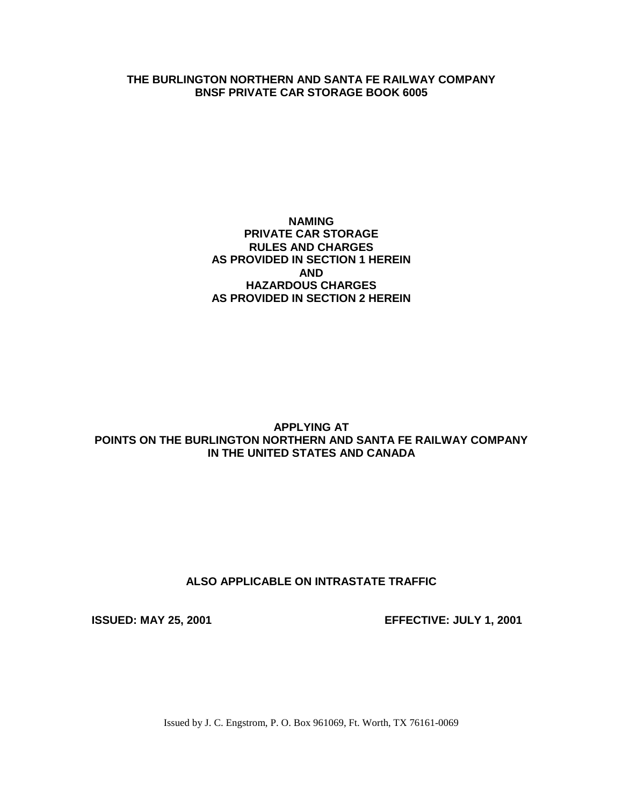## **THE BURLINGTON NORTHERN AND SANTA FE RAILWAY COMPANY BNSF PRIVATE CAR STORAGE BOOK 6005**

## **NAMING PRIVATE CAR STORAGE RULES AND CHARGES AS PROVIDED IN SECTION 1 HEREIN AND HAZARDOUS CHARGES AS PROVIDED IN SECTION 2 HEREIN**

## **APPLYING AT POINTS ON THE BURLINGTON NORTHERN AND SANTA FE RAILWAY COMPANY IN THE UNITED STATES AND CANADA**

## **ALSO APPLICABLE ON INTRASTATE TRAFFIC**

**ISSUED: MAY 25, 2001 EFFECTIVE: JULY 1, 2001**

Issued by J. C. Engstrom, P. O. Box 961069, Ft. Worth, TX 76161-0069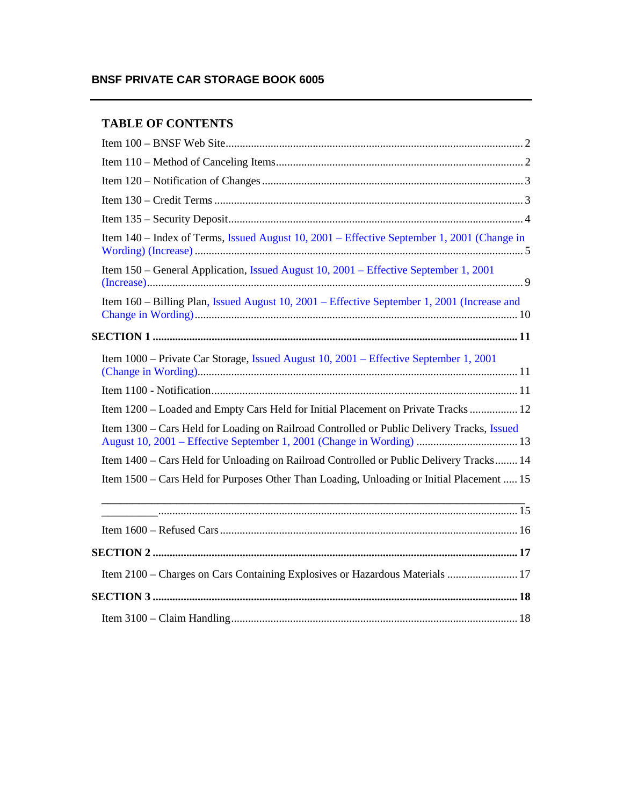# **BNSF PRIVATE CAR STORAGE BOOK 6005**

# **TABLE OF CONTENTS**

| Item 140 – Index of Terms, Issued August 10, 2001 – Effective September 1, 2001 (Change in  |
|---------------------------------------------------------------------------------------------|
| Item 150 - General Application, Issued August 10, 2001 - Effective September 1, 2001        |
| Item 160 - Billing Plan, Issued August 10, 2001 - Effective September 1, 2001 (Increase and |
|                                                                                             |
| Item 1000 - Private Car Storage, Issued August 10, 2001 - Effective September 1, 2001       |
|                                                                                             |
| Item 1200 - Loaded and Empty Cars Held for Initial Placement on Private Tracks  12          |
| Item 1300 – Cars Held for Loading on Railroad Controlled or Public Delivery Tracks, Issued  |
| Item 1400 - Cars Held for Unloading on Railroad Controlled or Public Delivery Tracks 14     |
| Item 1500 – Cars Held for Purposes Other Than Loading, Unloading or Initial Placement  15   |
|                                                                                             |
|                                                                                             |
|                                                                                             |
| Item 2100 – Charges on Cars Containing Explosives or Hazardous Materials  17                |
|                                                                                             |
|                                                                                             |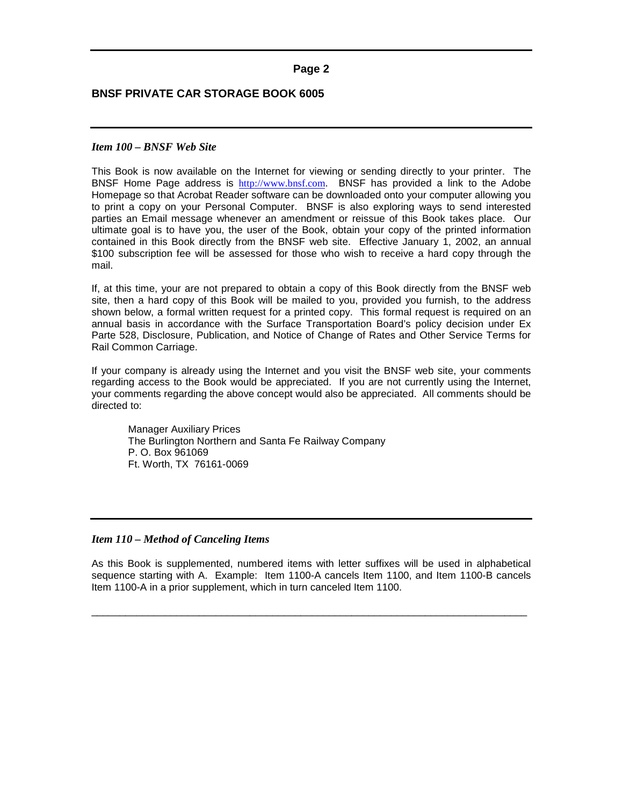### <span id="page-2-0"></span>**BNSF PRIVATE CAR STORAGE BOOK 6005**

#### *Item 100 – BNSF Web Site*

This Book is now available on the Internet for viewing or sending directly to your printer. The BNSF Home Page address is [http://www.bnsf.com](http://www.bnsf.com/). BNSF has provided a link to the Adobe Homepage so that Acrobat Reader software can be downloaded onto your computer allowing you to print a copy on your Personal Computer. BNSF is also exploring ways to send interested parties an Email message whenever an amendment or reissue of this Book takes place. Our ultimate goal is to have you, the user of the Book, obtain your copy of the printed information contained in this Book directly from the BNSF web site. Effective January 1, 2002, an annual \$100 subscription fee will be assessed for those who wish to receive a hard copy through the mail.

If, at this time, your are not prepared to obtain a copy of this Book directly from the BNSF web site, then a hard copy of this Book will be mailed to you, provided you furnish, to the address shown below, a formal written request for a printed copy. This formal request is required on an annual basis in accordance with the Surface Transportation Board's policy decision under Ex Parte 528, Disclosure, Publication, and Notice of Change of Rates and Other Service Terms for Rail Common Carriage.

If your company is already using the Internet and you visit the BNSF web site, your comments regarding access to the Book would be appreciated. If you are not currently using the Internet, your comments regarding the above concept would also be appreciated. All comments should be directed to:

Manager Auxiliary Prices The Burlington Northern and Santa Fe Railway Company P. O. Box 961069 Ft. Worth, TX 76161-0069

### *Item 110 – Method of Canceling Items*

As this Book is supplemented, numbered items with letter suffixes will be used in alphabetical sequence starting with A. Example: Item 1100-A cancels Item 1100, and Item 1100-B cancels Item 1100-A in a prior supplement, which in turn canceled Item 1100.

\_\_\_\_\_\_\_\_\_\_\_\_\_\_\_\_\_\_\_\_\_\_\_\_\_\_\_\_\_\_\_\_\_\_\_\_\_\_\_\_\_\_\_\_\_\_\_\_\_\_\_\_\_\_\_\_\_\_\_\_\_\_\_\_\_\_\_\_\_\_\_\_\_\_\_\_\_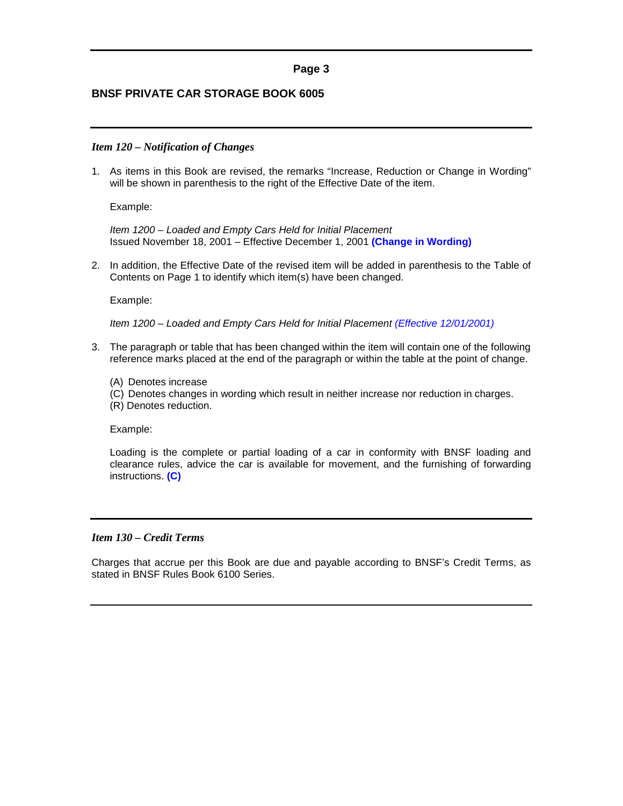## <span id="page-3-0"></span>**BNSF PRIVATE CAR STORAGE BOOK 6005**

#### *Item 120 – Notification of Changes*

1. As items in this Book are revised, the remarks "Increase, Reduction or Change in Wording" will be shown in parenthesis to the right of the Effective Date of the item.

Example:

*Item 1200 – Loaded and Empty Cars Held for Initial Placement* Issued November 18, 2001 – Effective December 1, 2001 **(Change in Wording)**

2. In addition, the Effective Date of the revised item will be added in parenthesis to the Table of Contents on Page 1 to identify which item(s) have been changed.

Example:

*Item 1200 – Loaded and Empty Cars Held for Initial Placement (Effective 12/01/2001)*

- 3. The paragraph or table that has been changed within the item will contain one of the following reference marks placed at the end of the paragraph or within the table at the point of change.
	- (A) Denotes increase
	- (C) Denotes changes in wording which result in neither increase nor reduction in charges.

(R) Denotes reduction.

Example:

Loading is the complete or partial loading of a car in conformity with BNSF loading and clearance rules, advice the car is available for movement, and the furnishing of forwarding instructions. **(C)**

### *Item 130 – Credit Terms*

Charges that accrue per this Book are due and payable according to BNSF's Credit Terms, as stated in BNSF Rules Book 6100 Series.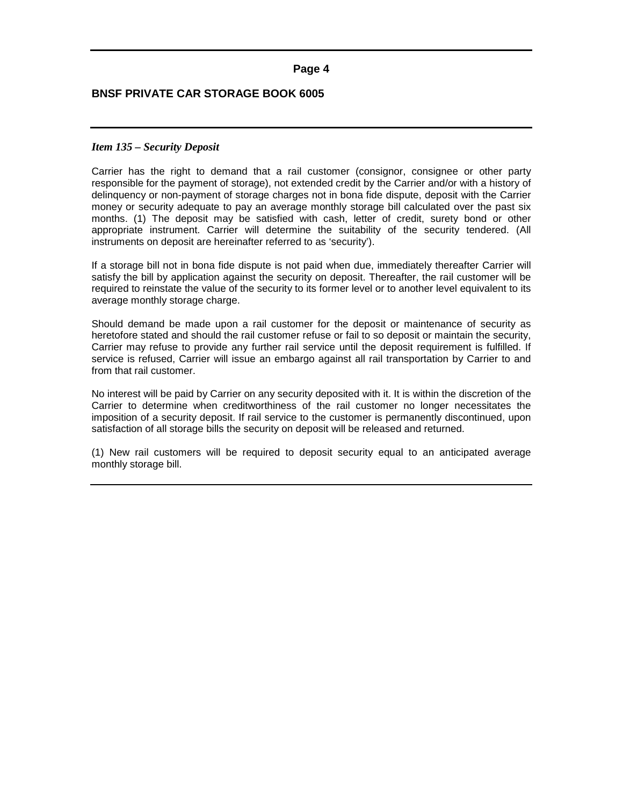## <span id="page-4-0"></span>**BNSF PRIVATE CAR STORAGE BOOK 6005**

#### *Item 135 – Security Deposit*

Carrier has the right to demand that a rail customer (consignor, consignee or other party responsible for the payment of storage), not extended credit by the Carrier and/or with a history of delinquency or non-payment of storage charges not in bona fide dispute, deposit with the Carrier money or security adequate to pay an average monthly storage bill calculated over the past six months. (1) The deposit may be satisfied with cash, letter of credit, surety bond or other appropriate instrument. Carrier will determine the suitability of the security tendered. (All instruments on deposit are hereinafter referred to as 'security').

If a storage bill not in bona fide dispute is not paid when due, immediately thereafter Carrier will satisfy the bill by application against the security on deposit. Thereafter, the rail customer will be required to reinstate the value of the security to its former level or to another level equivalent to its average monthly storage charge.

Should demand be made upon a rail customer for the deposit or maintenance of security as heretofore stated and should the rail customer refuse or fail to so deposit or maintain the security, Carrier may refuse to provide any further rail service until the deposit requirement is fulfilled. If service is refused, Carrier will issue an embargo against all rail transportation by Carrier to and from that rail customer.

No interest will be paid by Carrier on any security deposited with it. It is within the discretion of the Carrier to determine when creditworthiness of the rail customer no longer necessitates the imposition of a security deposit. If rail service to the customer is permanently discontinued, upon satisfaction of all storage bills the security on deposit will be released and returned.

(1) New rail customers will be required to deposit security equal to an anticipated average monthly storage bill.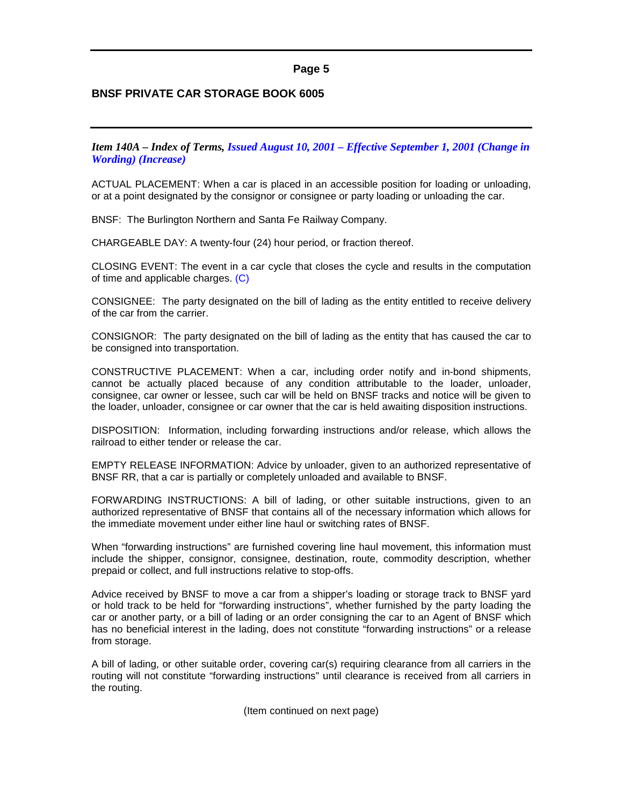## <span id="page-5-0"></span>**BNSF PRIVATE CAR STORAGE BOOK 6005**

*Item 140A – Index of Terms, Issued August 10, 2001 – Effective September 1, 2001 (Change in Wording) (Increase)*

ACTUAL PLACEMENT: When a car is placed in an accessible position for loading or unloading, or at a point designated by the consignor or consignee or party loading or unloading the car.

BNSF: The Burlington Northern and Santa Fe Railway Company.

CHARGEABLE DAY: A twenty-four (24) hour period, or fraction thereof.

CLOSING EVENT: The event in a car cycle that closes the cycle and results in the computation of time and applicable charges. (C)

CONSIGNEE: The party designated on the bill of lading as the entity entitled to receive delivery of the car from the carrier.

CONSIGNOR: The party designated on the bill of lading as the entity that has caused the car to be consigned into transportation.

CONSTRUCTIVE PLACEMENT: When a car, including order notify and in-bond shipments, cannot be actually placed because of any condition attributable to the loader, unloader, consignee, car owner or lessee, such car will be held on BNSF tracks and notice will be given to the loader, unloader, consignee or car owner that the car is held awaiting disposition instructions.

DISPOSITION: Information, including forwarding instructions and/or release, which allows the railroad to either tender or release the car.

EMPTY RELEASE INFORMATION: Advice by unloader, given to an authorized representative of BNSF RR, that a car is partially or completely unloaded and available to BNSF.

FORWARDING INSTRUCTIONS: A bill of lading, or other suitable instructions, given to an authorized representative of BNSF that contains all of the necessary information which allows for the immediate movement under either line haul or switching rates of BNSF.

When "forwarding instructions" are furnished covering line haul movement, this information must include the shipper, consignor, consignee, destination, route, commodity description, whether prepaid or collect, and full instructions relative to stop-offs.

Advice received by BNSF to move a car from a shipper's loading or storage track to BNSF yard or hold track to be held for "forwarding instructions", whether furnished by the party loading the car or another party, or a bill of lading or an order consigning the car to an Agent of BNSF which has no beneficial interest in the lading, does not constitute "forwarding instructions" or a release from storage.

A bill of lading, or other suitable order, covering car(s) requiring clearance from all carriers in the routing will not constitute "forwarding instructions" until clearance is received from all carriers in the routing.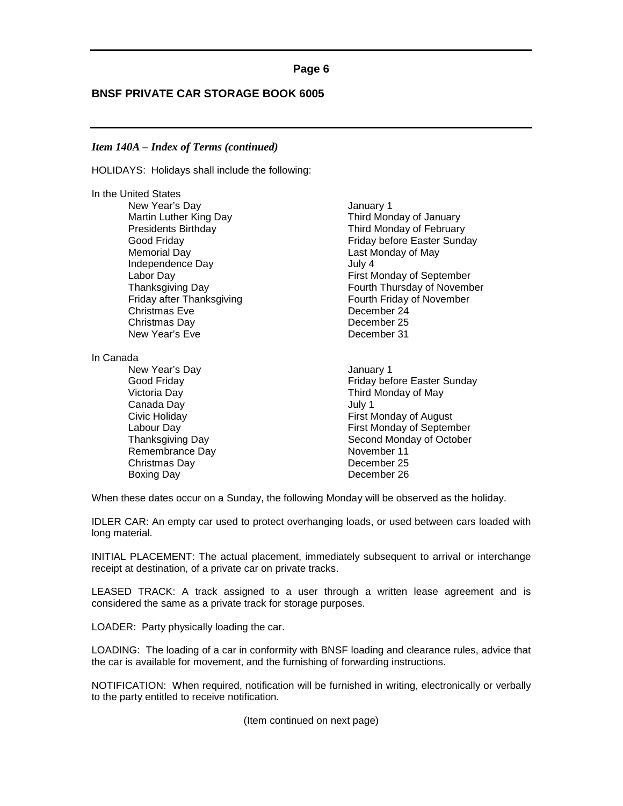## **BNSF PRIVATE CAR STORAGE BOOK 6005**

#### *Item 140A – Index of Terms (continued)*

HOLIDAYS: Holidays shall include the following:

In the United States New Year's Day **Internal Contract Contract Contract Contract Contract Contract Contract Contract Contract Contract Contract Contract Contract Contract Contract Contract Contract Contract Contract Contract Contract Contract** Memorial Day **Memorial Day Last Monday of May** Independence Day **July 4** Christmas Eve Christmas Day **December 25** New Year's Eve **December 31** 

In Canada

New Year's Day **Internal Contract Contract Contract Contract Contract Contract Contract Contract Contract Contract Contract Contract Contract Contract Contract Contract Contract Contract Contract Contract Contract Contract** Canada Day **Canada** Day **1** Remembrance Day November 11 Christmas Day **December 25** Boxing Day **December 26** 

Martin Luther King Day **Third Monday of January** Presidents Birthday<br>
Good Friday Cood Friday<br>
Good Friday Cood Friday Cood Friday Cood Friday Friday before Easter Sunday Labor Day First Monday of September Thanksgiving Day **Fourth Thursday of November** Fourth Thursday of November Friday after Thanksgiving Friday of November<br>
Christmas Eve Fourth Friday of November<br>
Christmas Eve Fourth Christmas Eve

Good Friday **Friday Friday Friday** before Easter Sunday Victoria Day **Third Monday of May** Civic Holiday **First Monday of August** Labour Day First Monday of September Thanksgiving Day **Second Monday of October** 

When these dates occur on a Sunday, the following Monday will be observed as the holiday.

IDLER CAR: An empty car used to protect overhanging loads, or used between cars loaded with long material.

INITIAL PLACEMENT: The actual placement, immediately subsequent to arrival or interchange receipt at destination, of a private car on private tracks.

LEASED TRACK: A track assigned to a user through a written lease agreement and is considered the same as a private track for storage purposes.

LOADER: Party physically loading the car.

LOADING: The loading of a car in conformity with BNSF loading and clearance rules, advice that the car is available for movement, and the furnishing of forwarding instructions.

NOTIFICATION: When required, notification will be furnished in writing, electronically or verbally to the party entitled to receive notification.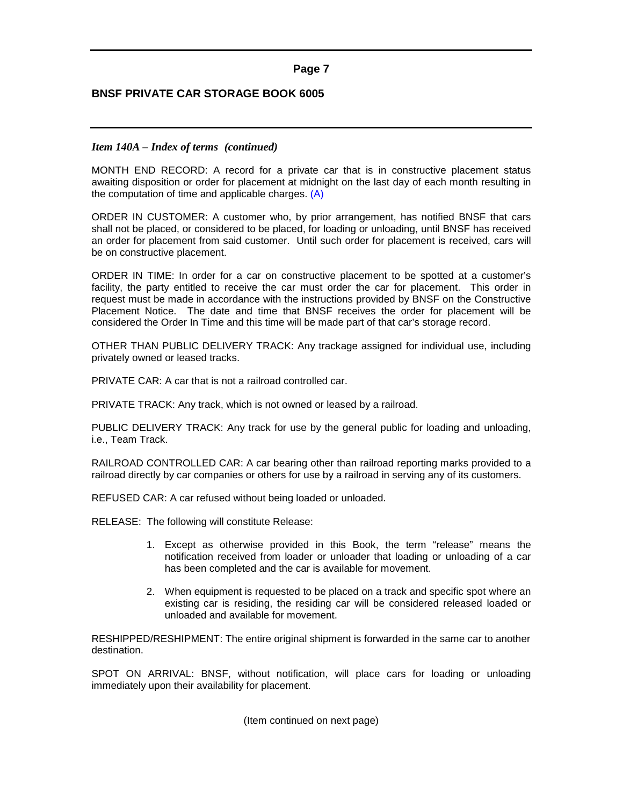## **BNSF PRIVATE CAR STORAGE BOOK 6005**

#### *Item 140A – Index of terms (continued)*

MONTH END RECORD: A record for a private car that is in constructive placement status awaiting disposition or order for placement at midnight on the last day of each month resulting in the computation of time and applicable charges. (A)

ORDER IN CUSTOMER: A customer who, by prior arrangement, has notified BNSF that cars shall not be placed, or considered to be placed, for loading or unloading, until BNSF has received an order for placement from said customer. Until such order for placement is received, cars will be on constructive placement.

ORDER IN TIME: In order for a car on constructive placement to be spotted at a customer's facility, the party entitled to receive the car must order the car for placement. This order in request must be made in accordance with the instructions provided by BNSF on the Constructive Placement Notice. The date and time that BNSF receives the order for placement will be considered the Order In Time and this time will be made part of that car's storage record.

OTHER THAN PUBLIC DELIVERY TRACK: Any trackage assigned for individual use, including privately owned or leased tracks.

PRIVATE CAR: A car that is not a railroad controlled car.

PRIVATE TRACK: Any track, which is not owned or leased by a railroad.

PUBLIC DELIVERY TRACK: Any track for use by the general public for loading and unloading, i.e., Team Track.

RAILROAD CONTROLLED CAR: A car bearing other than railroad reporting marks provided to a railroad directly by car companies or others for use by a railroad in serving any of its customers.

REFUSED CAR: A car refused without being loaded or unloaded.

RELEASE: The following will constitute Release:

- 1. Except as otherwise provided in this Book, the term "release" means the notification received from loader or unloader that loading or unloading of a car has been completed and the car is available for movement.
- 2. When equipment is requested to be placed on a track and specific spot where an existing car is residing, the residing car will be considered released loaded or unloaded and available for movement.

RESHIPPED/RESHIPMENT: The entire original shipment is forwarded in the same car to another destination.

SPOT ON ARRIVAL: BNSF, without notification, will place cars for loading or unloading immediately upon their availability for placement.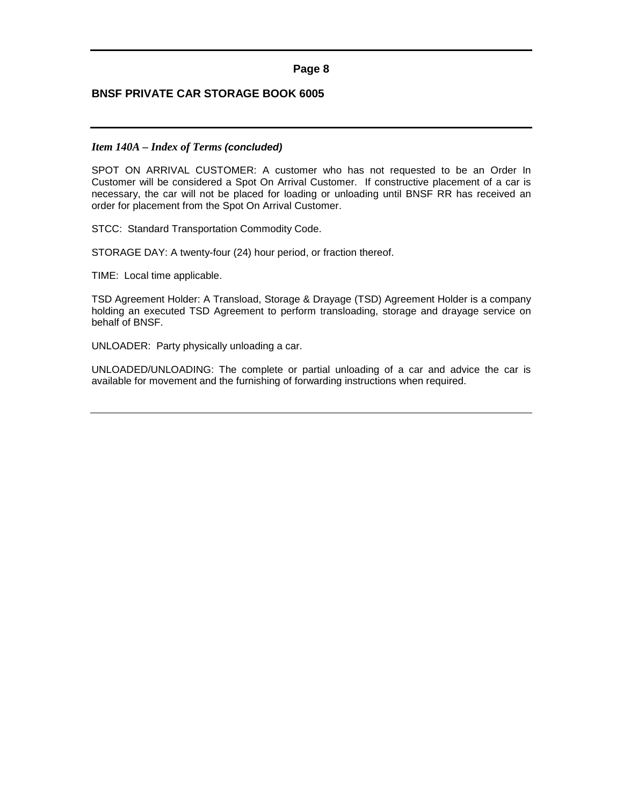## **BNSF PRIVATE CAR STORAGE BOOK 6005**

## *Item 140A – Index of Terms (concluded)*

SPOT ON ARRIVAL CUSTOMER: A customer who has not requested to be an Order In Customer will be considered a Spot On Arrival Customer. If constructive placement of a car is necessary, the car will not be placed for loading or unloading until BNSF RR has received an order for placement from the Spot On Arrival Customer.

STCC: Standard Transportation Commodity Code.

STORAGE DAY: A twenty-four (24) hour period, or fraction thereof.

TIME: Local time applicable.

TSD Agreement Holder: A Transload, Storage & Drayage (TSD) Agreement Holder is a company holding an executed TSD Agreement to perform transloading, storage and drayage service on behalf of BNSF.

UNLOADER: Party physically unloading a car.

UNLOADED/UNLOADING: The complete or partial unloading of a car and advice the car is available for movement and the furnishing of forwarding instructions when required.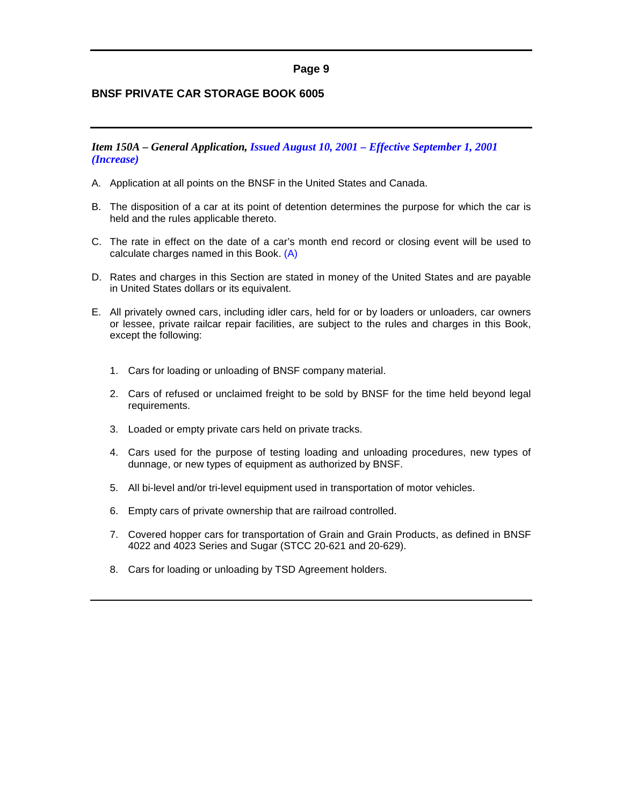## <span id="page-9-0"></span>**BNSF PRIVATE CAR STORAGE BOOK 6005**

*Item 150A – General Application, Issued August 10, 2001 – Effective September 1, 2001 (Increase)*

- A. Application at all points on the BNSF in the United States and Canada.
- B. The disposition of a car at its point of detention determines the purpose for which the car is held and the rules applicable thereto.
- C. The rate in effect on the date of a car's month end record or closing event will be used to calculate charges named in this Book. (A)
- D. Rates and charges in this Section are stated in money of the United States and are payable in United States dollars or its equivalent.
- E. All privately owned cars, including idler cars, held for or by loaders or unloaders, car owners or lessee, private railcar repair facilities, are subject to the rules and charges in this Book, except the following:
	- 1. Cars for loading or unloading of BNSF company material.
	- 2. Cars of refused or unclaimed freight to be sold by BNSF for the time held beyond legal requirements.
	- 3. Loaded or empty private cars held on private tracks.
	- 4. Cars used for the purpose of testing loading and unloading procedures, new types of dunnage, or new types of equipment as authorized by BNSF.
	- 5. All bi-level and/or tri-level equipment used in transportation of motor vehicles.
	- 6. Empty cars of private ownership that are railroad controlled.
	- 7. Covered hopper cars for transportation of Grain and Grain Products, as defined in BNSF 4022 and 4023 Series and Sugar (STCC 20-621 and 20-629).
	- 8. Cars for loading or unloading by TSD Agreement holders.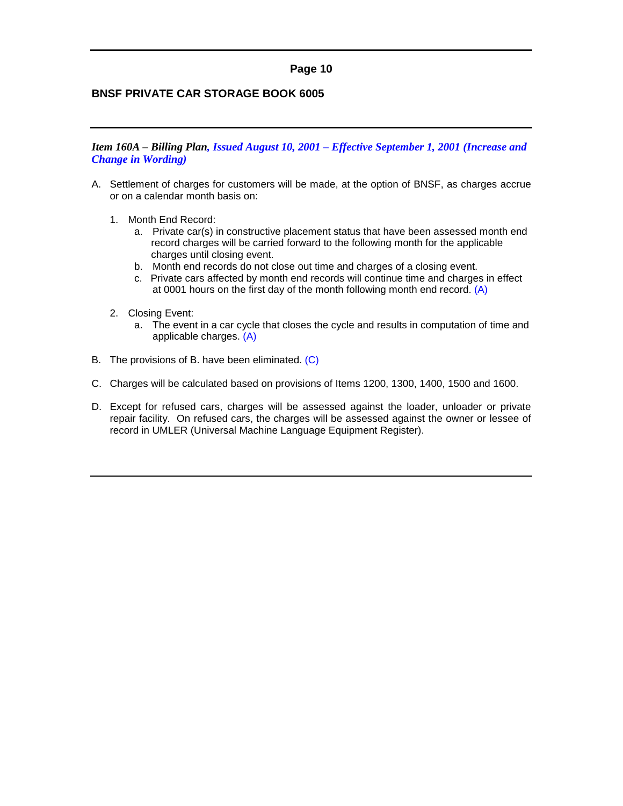## <span id="page-10-0"></span>**BNSF PRIVATE CAR STORAGE BOOK 6005**

*Item 160A – Billing Plan, Issued August 10, 2001 – Effective September 1, 2001 (Increase and Change in Wording)*

- A. Settlement of charges for customers will be made, at the option of BNSF, as charges accrue or on a calendar month basis on:
	- 1. Month End Record:
		- a. Private car(s) in constructive placement status that have been assessed month end record charges will be carried forward to the following month for the applicable charges until closing event.
		- b. Month end records do not close out time and charges of a closing event.
		- c. Private cars affected by month end records will continue time and charges in effect at 0001 hours on the first day of the month following month end record. (A)
	- 2. Closing Event:
		- a. The event in a car cycle that closes the cycle and results in computation of time and applicable charges. (A)
- B. The provisions of B. have been eliminated. (C)
- C. Charges will be calculated based on provisions of Items 1200, 1300, 1400, 1500 and 1600.
- D. Except for refused cars, charges will be assessed against the loader, unloader or private repair facility. On refused cars, the charges will be assessed against the owner or lessee of record in UMLER (Universal Machine Language Equipment Register).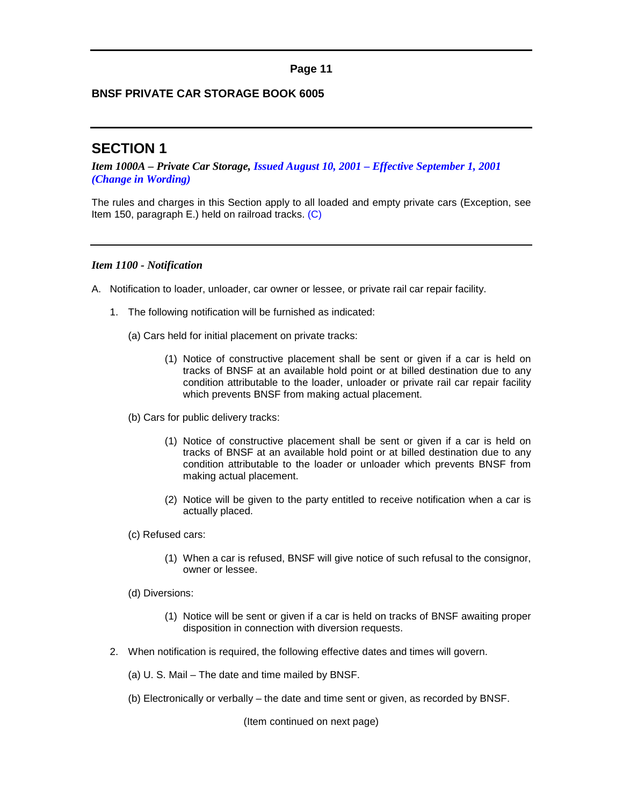## <span id="page-11-0"></span>**BNSF PRIVATE CAR STORAGE BOOK 6005**

# **SECTION 1**

*Item 1000A – Private Car Storage, Issued August 10, 2001 – Effective September 1, 2001 (Change in Wording)*

The rules and charges in this Section apply to all loaded and empty private cars (Exception, see Item 150, paragraph E.) held on railroad tracks. (C)

#### *Item 1100 - Notification*

- A. Notification to loader, unloader, car owner or lessee, or private rail car repair facility.
	- 1. The following notification will be furnished as indicated:
		- (a) Cars held for initial placement on private tracks:
			- (1) Notice of constructive placement shall be sent or given if a car is held on tracks of BNSF at an available hold point or at billed destination due to any condition attributable to the loader, unloader or private rail car repair facility which prevents BNSF from making actual placement.
		- (b) Cars for public delivery tracks:
			- (1) Notice of constructive placement shall be sent or given if a car is held on tracks of BNSF at an available hold point or at billed destination due to any condition attributable to the loader or unloader which prevents BNSF from making actual placement.
			- (2) Notice will be given to the party entitled to receive notification when a car is actually placed.
		- (c) Refused cars:
			- (1) When a car is refused, BNSF will give notice of such refusal to the consignor, owner or lessee.
		- (d) Diversions:
			- (1) Notice will be sent or given if a car is held on tracks of BNSF awaiting proper disposition in connection with diversion requests.
	- 2. When notification is required, the following effective dates and times will govern.
		- (a) U. S. Mail The date and time mailed by BNSF.
		- (b) Electronically or verbally the date and time sent or given, as recorded by BNSF.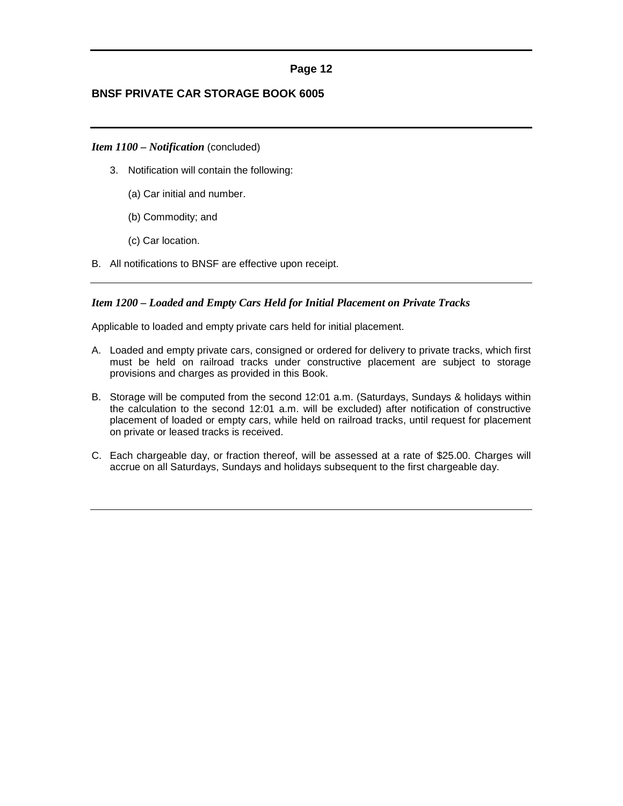## <span id="page-12-0"></span>**BNSF PRIVATE CAR STORAGE BOOK 6005**

#### *Item 1100 – Notification* (concluded)

- 3. Notification will contain the following:
	- (a) Car initial and number.
	- (b) Commodity; and
	- (c) Car location.
- B. All notifications to BNSF are effective upon receipt.

#### *Item 1200 – Loaded and Empty Cars Held for Initial Placement on Private Tracks*

Applicable to loaded and empty private cars held for initial placement.

- A. Loaded and empty private cars, consigned or ordered for delivery to private tracks, which first must be held on railroad tracks under constructive placement are subject to storage provisions and charges as provided in this Book.
- B. Storage will be computed from the second 12:01 a.m. (Saturdays, Sundays & holidays within the calculation to the second 12:01 a.m. will be excluded) after notification of constructive placement of loaded or empty cars, while held on railroad tracks, until request for placement on private or leased tracks is received.
- C. Each chargeable day, or fraction thereof, will be assessed at a rate of \$25.00. Charges will accrue on all Saturdays, Sundays and holidays subsequent to the first chargeable day.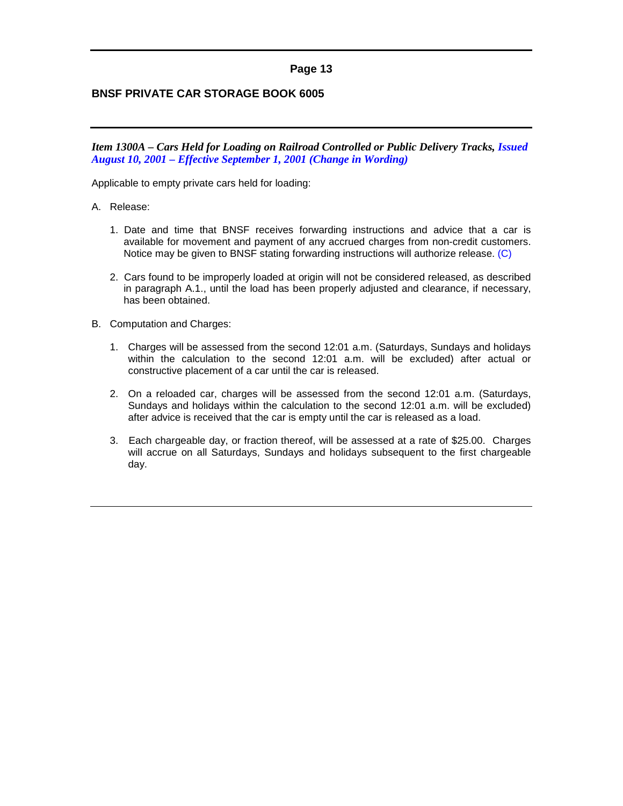## <span id="page-13-0"></span>**BNSF PRIVATE CAR STORAGE BOOK 6005**

*Item 1300A – Cars Held for Loading on Railroad Controlled or Public Delivery Tracks, Issued August 10, 2001 – Effective September 1, 2001 (Change in Wording)*

Applicable to empty private cars held for loading:

#### A. Release:

- 1. Date and time that BNSF receives forwarding instructions and advice that a car is available for movement and payment of any accrued charges from non-credit customers. Notice may be given to BNSF stating forwarding instructions will authorize release. (C)
- 2. Cars found to be improperly loaded at origin will not be considered released, as described in paragraph A.1., until the load has been properly adjusted and clearance, if necessary, has been obtained.
- B. Computation and Charges:
	- 1. Charges will be assessed from the second 12:01 a.m. (Saturdays, Sundays and holidays within the calculation to the second 12:01 a.m. will be excluded) after actual or constructive placement of a car until the car is released.
	- 2. On a reloaded car, charges will be assessed from the second 12:01 a.m. (Saturdays, Sundays and holidays within the calculation to the second 12:01 a.m. will be excluded) after advice is received that the car is empty until the car is released as a load.
	- 3. Each chargeable day, or fraction thereof, will be assessed at a rate of \$25.00. Charges will accrue on all Saturdays, Sundays and holidays subsequent to the first chargeable day.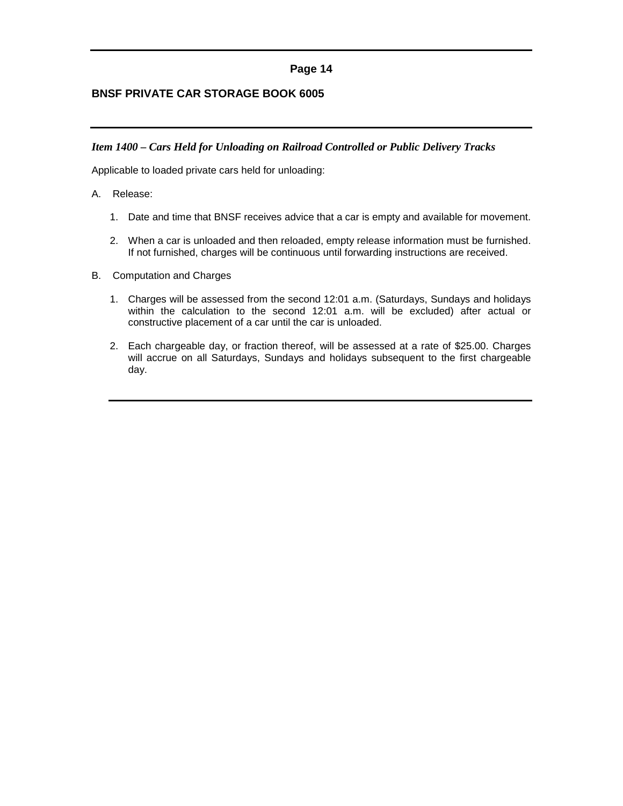## <span id="page-14-0"></span>**BNSF PRIVATE CAR STORAGE BOOK 6005**

#### *Item 1400 – Cars Held for Unloading on Railroad Controlled or Public Delivery Tracks*

Applicable to loaded private cars held for unloading:

- A. Release:
	- 1. Date and time that BNSF receives advice that a car is empty and available for movement.
	- 2. When a car is unloaded and then reloaded, empty release information must be furnished. If not furnished, charges will be continuous until forwarding instructions are received.
- B. Computation and Charges
	- 1. Charges will be assessed from the second 12:01 a.m. (Saturdays, Sundays and holidays within the calculation to the second 12:01 a.m. will be excluded) after actual or constructive placement of a car until the car is unloaded.
	- 2. Each chargeable day, or fraction thereof, will be assessed at a rate of \$25.00. Charges will accrue on all Saturdays, Sundays and holidays subsequent to the first chargeable day.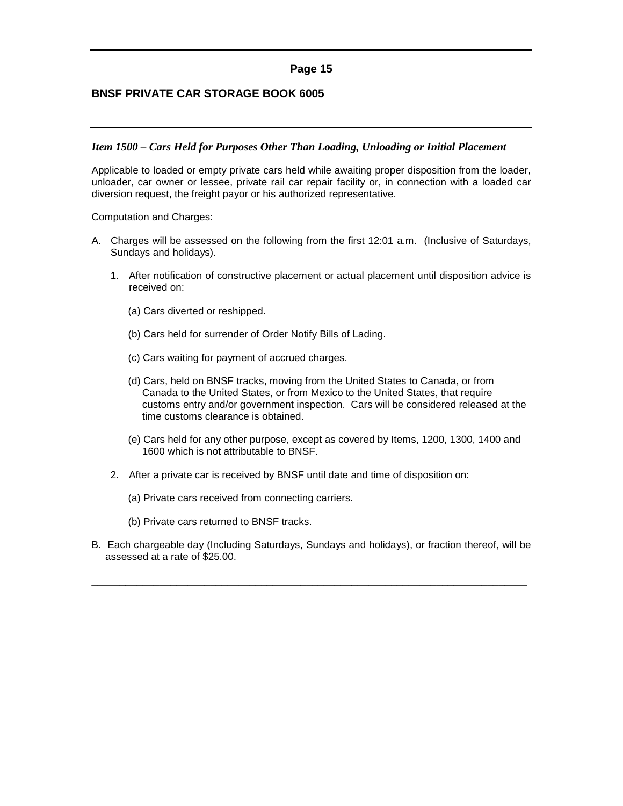## <span id="page-15-0"></span>**BNSF PRIVATE CAR STORAGE BOOK 6005**

#### *Item 1500 – Cars Held for Purposes Other Than Loading, Unloading or Initial Placement*

Applicable to loaded or empty private cars held while awaiting proper disposition from the loader, unloader, car owner or lessee, private rail car repair facility or, in connection with a loaded car diversion request, the freight payor or his authorized representative.

Computation and Charges:

- A. Charges will be assessed on the following from the first 12:01 a.m. (Inclusive of Saturdays, Sundays and holidays).
	- 1. After notification of constructive placement or actual placement until disposition advice is received on:
		- (a) Cars diverted or reshipped.
		- (b) Cars held for surrender of Order Notify Bills of Lading.
		- (c) Cars waiting for payment of accrued charges.
		- (d) Cars, held on BNSF tracks, moving from the United States to Canada, or from Canada to the United States, or from Mexico to the United States, that require customs entry and/or government inspection. Cars will be considered released at the time customs clearance is obtained.
		- (e) Cars held for any other purpose, except as covered by Items, 1200, 1300, 1400 and 1600 which is not attributable to BNSF.
	- 2. After a private car is received by BNSF until date and time of disposition on:
		- (a) Private cars received from connecting carriers.
		- (b) Private cars returned to BNSF tracks.
- B. Each chargeable day (Including Saturdays, Sundays and holidays), or fraction thereof, will be assessed at a rate of \$25.00.

\_\_\_\_\_\_\_\_\_\_\_\_\_\_\_\_\_\_\_\_\_\_\_\_\_\_\_\_\_\_\_\_\_\_\_\_\_\_\_\_\_\_\_\_\_\_\_\_\_\_\_\_\_\_\_\_\_\_\_\_\_\_\_\_\_\_\_\_\_\_\_\_\_\_\_\_\_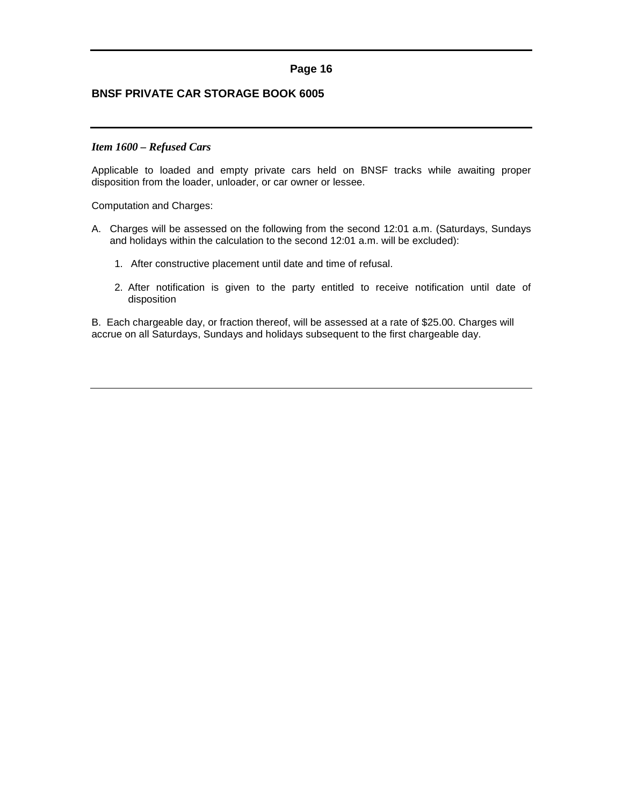## <span id="page-16-0"></span>**BNSF PRIVATE CAR STORAGE BOOK 6005**

#### *Item 1600 – Refused Cars*

Applicable to loaded and empty private cars held on BNSF tracks while awaiting proper disposition from the loader, unloader, or car owner or lessee.

Computation and Charges:

- A. Charges will be assessed on the following from the second 12:01 a.m. (Saturdays, Sundays and holidays within the calculation to the second 12:01 a.m. will be excluded):
	- 1. After constructive placement until date and time of refusal.
	- 2. After notification is given to the party entitled to receive notification until date of disposition

B. Each chargeable day, or fraction thereof, will be assessed at a rate of \$25.00. Charges will accrue on all Saturdays, Sundays and holidays subsequent to the first chargeable day.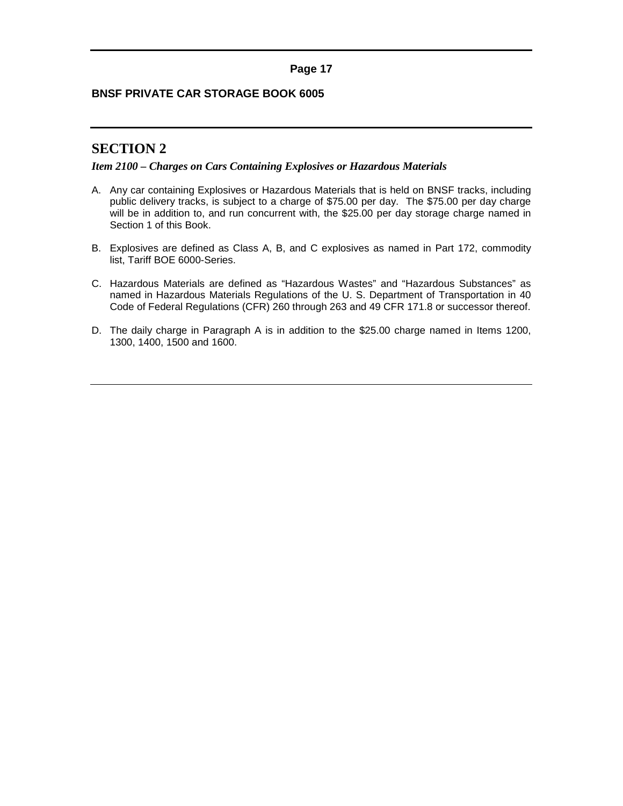## <span id="page-17-0"></span>**BNSF PRIVATE CAR STORAGE BOOK 6005**

# **SECTION 2**

#### *Item 2100 – Charges on Cars Containing Explosives or Hazardous Materials*

- A. Any car containing Explosives or Hazardous Materials that is held on BNSF tracks, including public delivery tracks, is subject to a charge of \$75.00 per day. The \$75.00 per day charge will be in addition to, and run concurrent with, the \$25.00 per day storage charge named in Section 1 of this Book.
- B. Explosives are defined as Class A, B, and C explosives as named in Part 172, commodity list, Tariff BOE 6000-Series.
- C. Hazardous Materials are defined as "Hazardous Wastes" and "Hazardous Substances" as named in Hazardous Materials Regulations of the U. S. Department of Transportation in 40 Code of Federal Regulations (CFR) 260 through 263 and 49 CFR 171.8 or successor thereof.
- D. The daily charge in Paragraph A is in addition to the \$25.00 charge named in Items 1200, 1300, 1400, 1500 and 1600.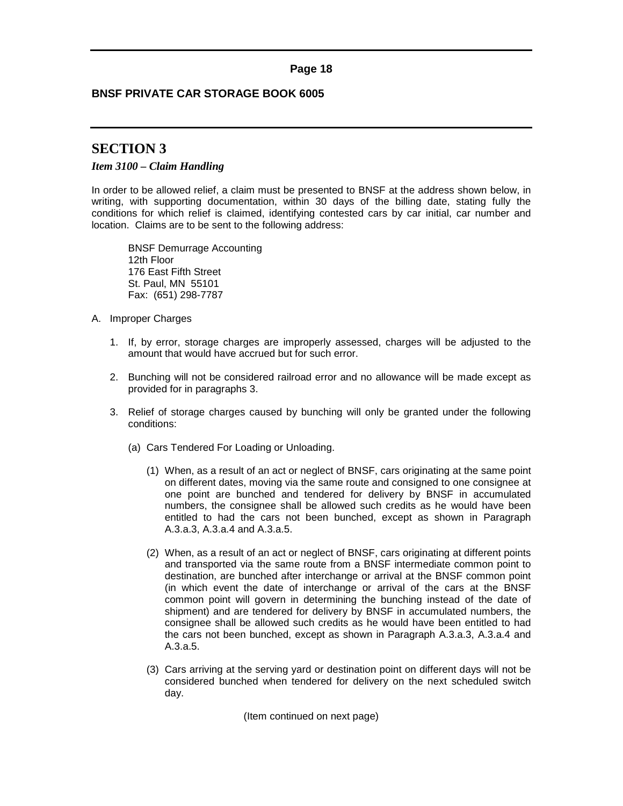## <span id="page-18-0"></span>**BNSF PRIVATE CAR STORAGE BOOK 6005**

# **SECTION 3**

## *Item 3100 – Claim Handling*

In order to be allowed relief, a claim must be presented to BNSF at the address shown below, in writing, with supporting documentation, within 30 days of the billing date, stating fully the conditions for which relief is claimed, identifying contested cars by car initial, car number and location. Claims are to be sent to the following address:

BNSF Demurrage Accounting 12th Floor 176 East Fifth Street St. Paul, MN 55101 Fax: (651) 298-7787

- A. Improper Charges
	- 1. If, by error, storage charges are improperly assessed, charges will be adjusted to the amount that would have accrued but for such error.
	- 2. Bunching will not be considered railroad error and no allowance will be made except as provided for in paragraphs 3.
	- 3. Relief of storage charges caused by bunching will only be granted under the following conditions:
		- (a) Cars Tendered For Loading or Unloading.
			- (1) When, as a result of an act or neglect of BNSF, cars originating at the same point on different dates, moving via the same route and consigned to one consignee at one point are bunched and tendered for delivery by BNSF in accumulated numbers, the consignee shall be allowed such credits as he would have been entitled to had the cars not been bunched, except as shown in Paragraph A.3.a.3, A.3.a.4 and A.3.a.5.
			- (2) When, as a result of an act or neglect of BNSF, cars originating at different points and transported via the same route from a BNSF intermediate common point to destination, are bunched after interchange or arrival at the BNSF common point (in which event the date of interchange or arrival of the cars at the BNSF common point will govern in determining the bunching instead of the date of shipment) and are tendered for delivery by BNSF in accumulated numbers, the consignee shall be allowed such credits as he would have been entitled to had the cars not been bunched, except as shown in Paragraph A.3.a.3, A.3.a.4 and A.3.a.5.
			- (3) Cars arriving at the serving yard or destination point on different days will not be considered bunched when tendered for delivery on the next scheduled switch day.